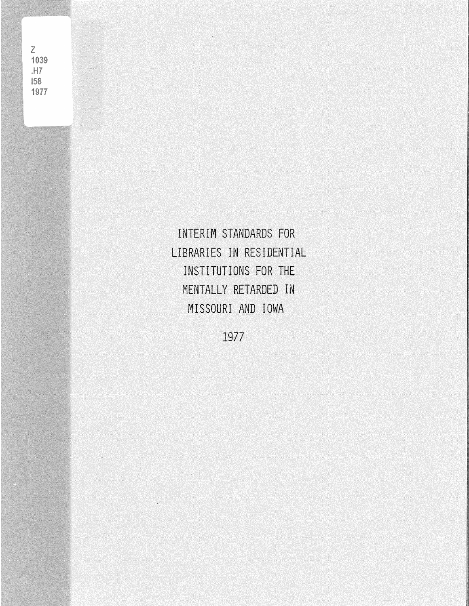$\overline{Z}$ 1039  $.H7$ 158 1977

> INTERIM STANDARDS FOR LIBRARIES IN RESIDENTIAL INSTITUTIONS **FOR** THE MENTALLY RETARDED IN MISSOURI AND IOWA

1977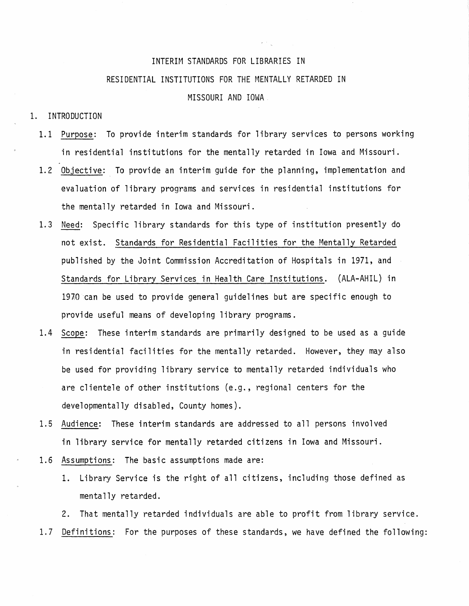# INTERIM STANDARDS FOR LIBRARIES IN RESIDENTIAL INSTITUTIONS FOR THE MENTALLY RETARDED IN MISSOURI AND IOWA

#### 1. INTRODUCTION

- 1.1 Purpose: To provide interim standards for library services to persons working in residential institutions for the mentally retarded in Iowa and Missouri.
- 1.2 Objective: To provide an interim guide for the planning, implementation and evaluation of library programs and services in residential institutions for the mentally retarded in Iowa and Missouri.
- 1.3 Need: Specific library standards for this type of institution presently do not exist. Standards for Residential Facilities for the Mentally Retarded published by the Joint Commission Accreditation of Hospitals in 1971, and Standards for Library Services in Health Care Institutions. (ALA-AHIL) in  $1970$  can be used to provide general guidelines but are specific enough to provide useful means of developing library programs.
- 1.4 Scope: These interim standards are primarily designed to be used as a guide in residential facilities for the mentally retarded. However, they may also be used for providing library service to mentally retarded individuals who are clientele of other institutions (e.g., regional centers for the developmentally disabled, County homes).
- 1.5 Audience: These interim standards are addressed to all persons involved in library service for mentally retarded citizens in Iowa and Missouri.
- 1.6 Assumptions: The basic assumptions made are:
	- 1. Library Service is the right of all citizens, including those defined as mentally retarded.

2. That mentally retarded individuals are able to profit from library service. 1.7 Definitions: For the purposes of these standards, we have defined the following: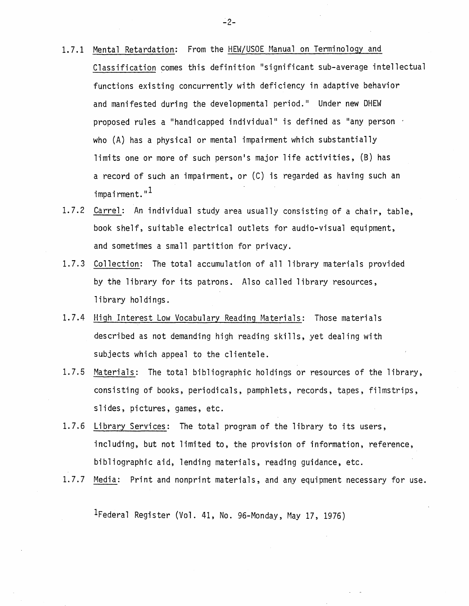- 1.7.1 Mental Retardation: From the HEW/USOE Manual on Terminology and Classification comes this definition "significant sub-average intellectual functions existing concurrently with deficiency in adaptive behavior and manifested during the developmental period." Under new DHEW proposed rules a "handicapped individual" is defined as "any person · who (A) has a physical or mental impairment which substantially limits one or more of such person•s major life activities, (B) has a record of such an impairment, or (C) is regarded as having such an  $impairment.$ "<sup>1</sup>
- 1.7.2 Carrel: An individual study area usually consisting of a chair, table, book shelf, suitable electrical outlets for audio-visual equipment, and sometimes a small partition for privacy.
- 1.7.3 Collection: The total accumulation of all library materials provided by the library for its patrons. Also called library resources, library holdings.
- 1.7.4 High Interest Low Vocabulary Reading Materials: Those materials described as not demanding high reading skills, yet dealing with subjects which appeal to the clientele.
- 1.7.5 Materials: The total bibliographic holdings or resources of the library, consisting of books, periodicals, pamphlets, records, tapes, filmstrips, slides, pictures, games, etc.
- 1.7.6 Library Services: The total program of the library to its users, including, but not limited to, the provision of information, reference, bibliographic aid, lending materials, reading guidance, etc.
- 1.7.7 Media: Print and nonprint materials, and any equipment necessary for use.

1Federal Register (Vol. 41, No. 96-Monday, May 17, 1976)

 $-2-$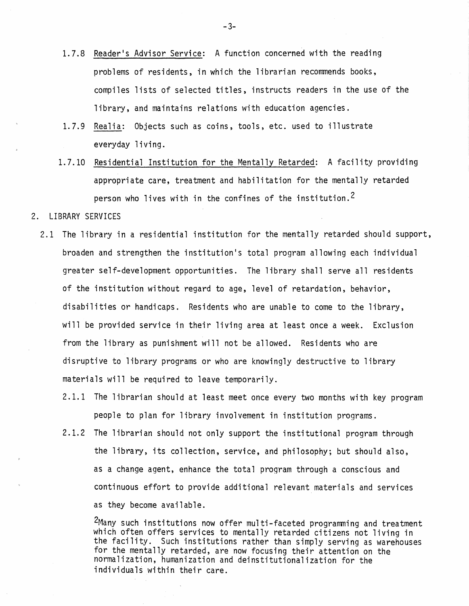- 1.7.8 Reader's Advisor Service: A function concerned with the reading problems of residents, in which the librarian recommends books, compiles lists of selected titles, instructs readers in the use of the library, and maintains relations with education agencies.
- 1.7.9 Realia: Objects such as coins, tools, etc. used to illustrate everyday living.
- 1.7.10 Residential Institution for the Mentally Retarded: A facility providing appropriate care, treatment and habilitation for the mentally retarded person who lives with in the confines of the institution.<sup>2</sup>

#### 2. LIBRARY SERVICES

- 2.1 The library in a residential institution for the mentally retarded should support, broaden and strengthen the institution's total program allowing each individual greater self-development opportunities. The library shall serve all residents of the institution without regard to age, level of retardation, behavior, disabilities or handicaps. Residents who are unable to come to the library, will be provided service in their living area at least once a week. Exclusion from the library as punishment will not be allowed. Residents who are disruptive to library programs or who are knowingly destructive to library materials will be required to leave temporarily.
	- 2.1.1 The librarian should at least meet once every two months with key program people to plan for library involvement in institution programs.
	- 2.1.2 The librarian should not only support the institutional program through the library, its collection, service, and philosophy; but should also, as a change agent, enhance the total program through a conscious and continuous effort to provide additional relevant materials and services as they become available.

2Many such institutions now offer multi-faceted programming and treatment which often offers services to mentally retarded citizens not living in the facility. Such institutions rather than simply serving as warehouses for the mentally retarded, are now focusing their attention on the normalization, humanization and deinstitutionalization for the individuals within their care.

-3-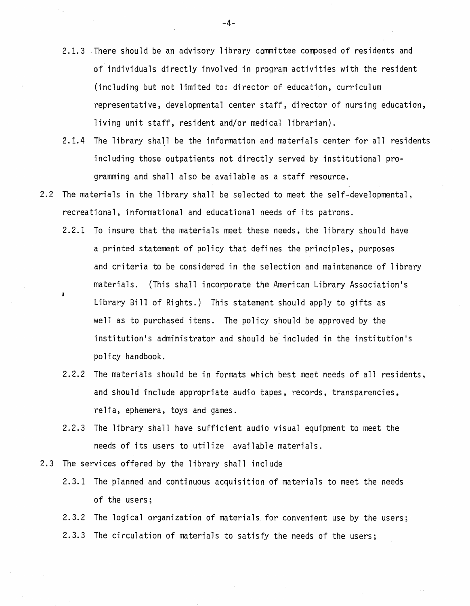- 2.1.3 There should be an advisory library committee composed of residents and of individuals directly involved in program activities with the resident (including but not limited to: director of education, curriculum representative, developmental center staff, director of nursing education, living unit staff, resident and/or medical librarian).
- 2.1.4 The library shall be the information and materials center for all residents including those outpatients not directly served by institutional programming and shall also be available as a staff resource.
- 2.2 The materials in the library shall be selected to meet the self-developmental, recreational, informational and educational needs of its patrons.
	- 2.2.1 To insure that the materials meet these needs, the library should have a printed statement of policy that defines the principles, purposes and criteria to be considered in the selection and maintenance of library materials. (This shall incorporate the American Library Association•s Library Bill of Rights.) This statement should apply to gifts as well as to purchased items. The policy should be approved by the institution's administrator and should be included in the institution's policy handbook.
	- 2.2.2 The materials should be in formats which best meet needs of all residents, and should include appropriate audio tapes, records, transparencies, relia, ephemera, toys and games.
	- 2.2.3 The library shall have sufficient audio visual equipment to meet the needs of its users to utilize available materials.
- 2.3 The services offered by the library shall include
	- 2.3.1 The planned and continuous acquisition of materials to meet the needs of the users;

2.3.2 The logical organization of materials. for convenient use by the users; 2.3.3 The circulation of materials to satisfy the needs of the users;

-4-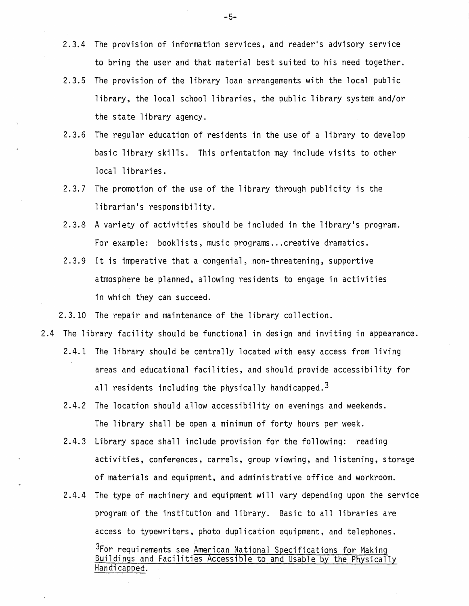- 2.3.4 The provision of information services, and reader's advisory service to bring the user and that material best suited to his need together.
- 2.3.5 The provision of the library loan arrangements with the local public library, the local school libraries, the public library system and/or the state library agency.
- 2.3.6 The regular education of residents in the use of a library to develop basic library skills. This orientation may include visits to other local libraries.
- 2.3.7 The promotion of the use of the library through publicity is the librarian's responsibility.
- 2.3.8 A variety of activities should be included in the library's program. For example: booklists, music programs ... creative dramatics.
- 2.3.9 It is imperative that a congenial, non-threatening, supportive atmosphere be planned, allowing residents to engage in activities in which they can succeed.

2.3.10 The repair and maintenance of the library collection.

- 2.4 The library facility should be functional in design and inviting in appearance.
	- 2.4.1 The library should be centrally located with easy access from living areas and educational facilities, and should provide accessibility for all residents including the physically handicapped.<sup>3</sup>
	- 2.4.2 The location should allow accessibility on evenings and weekends. The library shall be open a minimum of forty hours per week.
	- 2.4.3 Library space shall include provision for the following: reading activities, conferences, carrels, group viewing, and listening, storage of materials and equipment, and administrative office and workroom.
	- 2.4.4 The type of machinery and equipment will vary depending upon the service program of the institution and library. Basic to all libraries are access to typewriters, photo duplication equipment, and telephones. <sup>3</sup>For requirements see American National Specifications for Making Buildings and Facilities Accessible to and Usable by the Physically Handicapped.

-5-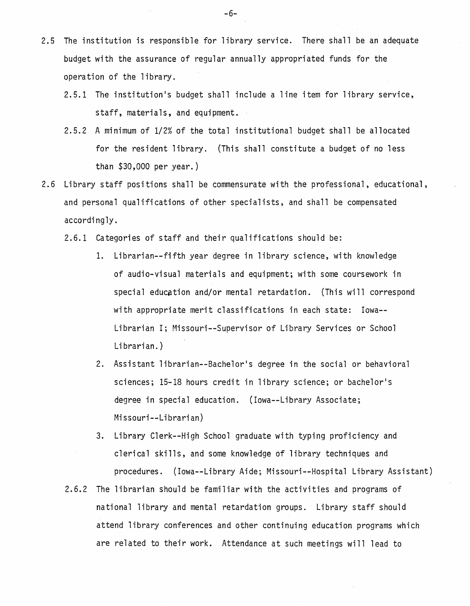- 2.5 The institution is responsible for library service. There shall be an adequate budget with the assurance of regular annually appropriated funds for the operation of the library.
	- 2.5.1 The institution's budget shall include a line item for library service, staff, materials, and equipment.
	- 2.5.2 A minimum of 1/2% of the total institutional budget shall be allocated for the resident library. (This shall constitute a budget of no less than \$30,000 per year.)
- 2.6 Library staff positions shall be commensurate with the professional, educational, and personal qualifications of other specialists, and shall be compensated accordingly.
	- 2.6.1 Categories of staff and their qualifications should be:
		- 1. Librarian--fifth year degree in library science, with knowledge of audio-visual materials and equipment; with some coursework in special education and/or mental retardation. (This will correspond with appropriate merit classifications in each state: Iowa-- Librarian I; Missouri--Supervisor of Library Services or School Librarian.)
		- 2. Assistant librarian--Bachelor's degree in the social or behavioral sciences; 15-18 hours credit in library science; or bachelor's degree in special education. (Iowa--Library Associate; Missouri--Librarian)
		- 3. Library Clerk--High School graduate with typing proficiency and clerical skills, and some knowledge of library techniques and procedures. (Iowa--Library Aide; Missouri--Hospital Library Assistant)
	- 2.6.2 The librarian should be familiar with the activities and programs of national library and mental retardation groups. Library staff should attend library conferences and other continuing education programs which are related to their work. Attendance at such meetings will lead to

-6-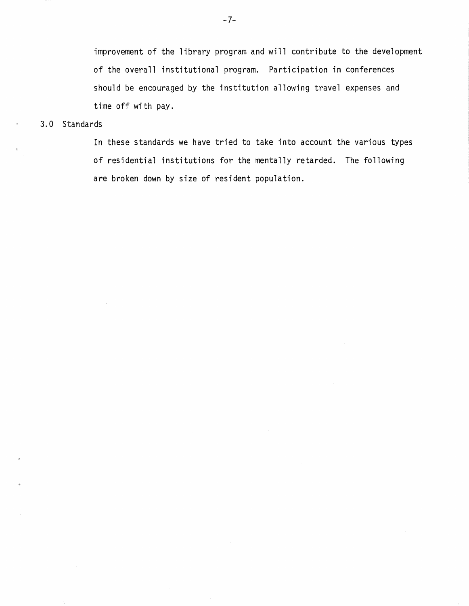improvement of the library program and will contribute to the development of the overall institutional program. Participation in conferences should be encouraged by the institution allowing travel expenses and time off with pay.

### 3.0 Standards

In these standards we have tried to take into account the various types of residential institutions for the mentally retarded. The following are broken down by size of resident population.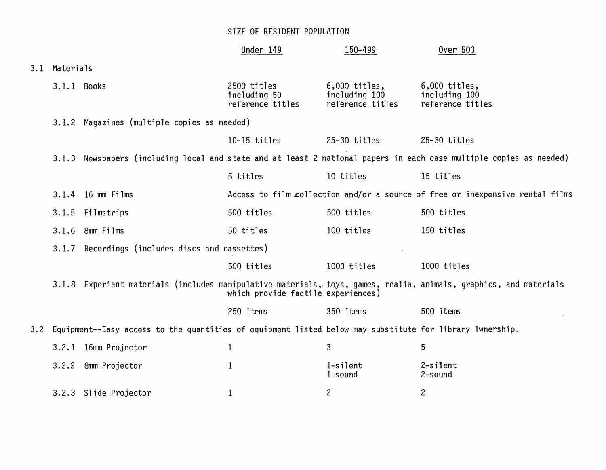## SIZE OF RESIDENT POPULATION

|     |                                                                                                                    |                       | Under 149                                                                     | 150-499                                              | 0ver 500                                                                                                          |  |  |
|-----|--------------------------------------------------------------------------------------------------------------------|-----------------------|-------------------------------------------------------------------------------|------------------------------------------------------|-------------------------------------------------------------------------------------------------------------------|--|--|
| 3.1 | Materials                                                                                                          |                       |                                                                               |                                                      |                                                                                                                   |  |  |
|     | 3.1.1 Books                                                                                                        |                       | 2500 titles<br>including 50<br>reference titles                               | $6,000$ titles,<br>including 100<br>reference titles | $6,000$ titles,<br>including 100<br>reference titles                                                              |  |  |
|     | 3.1.2 Magazines (multiple copies as needed)                                                                        |                       |                                                                               |                                                      |                                                                                                                   |  |  |
|     |                                                                                                                    |                       | $10 - 15$ titles                                                              | $25-30$ titles                                       | $25-30$ titles                                                                                                    |  |  |
|     | 3.1.3 Newspapers (including local and state and at least 2 national papers in each case multiple copies as needed) |                       |                                                                               |                                                      |                                                                                                                   |  |  |
|     |                                                                                                                    |                       | 5 titles                                                                      | 10 titles                                            | 15 titles                                                                                                         |  |  |
|     |                                                                                                                    | 3.1.4 16 mm Films     | Access to film collection and/or a source of free or inexpensive rental films |                                                      |                                                                                                                   |  |  |
|     | 3.1.5                                                                                                              | Filmstrips            | 500 titles                                                                    | 500 titles                                           | 500 titles                                                                                                        |  |  |
|     | 3.1.6                                                                                                              | 8mm Films             | 50 titles                                                                     | 100 titles                                           | 150 titles                                                                                                        |  |  |
|     | Recordings (includes discs and cassettes)<br>3.1.7                                                                 |                       |                                                                               |                                                      |                                                                                                                   |  |  |
|     |                                                                                                                    |                       | 500 titles                                                                    | 1000 titles                                          | 1000 titles                                                                                                       |  |  |
|     |                                                                                                                    |                       | which provide factile experiences)                                            |                                                      | 3.1.8 Experiant materials (includes manipulative materials, toys, games, realia, animals, graphics, and materials |  |  |
|     |                                                                                                                    |                       | 250 items                                                                     | 350 items                                            | 500 items                                                                                                         |  |  |
| 3.2 | Equipment--Easy access to the quantities of equipment listed below may substitute for library lwnership.           |                       |                                                                               |                                                      |                                                                                                                   |  |  |
|     | 3.2.1                                                                                                              | 16mm Projector        | $\mathbf{1}$                                                                  | 3                                                    | 5                                                                                                                 |  |  |
|     |                                                                                                                    | 3.2.2 8mm Projector   | 1                                                                             | 1-silent<br>1-sound                                  | 2-silent<br>2-sound                                                                                               |  |  |
|     |                                                                                                                    | 3.2.3 Slide Projector | $\mathbf{1}$                                                                  | $\overline{c}$                                       | $\overline{c}$                                                                                                    |  |  |
|     |                                                                                                                    |                       |                                                                               |                                                      |                                                                                                                   |  |  |

 $\sim 100$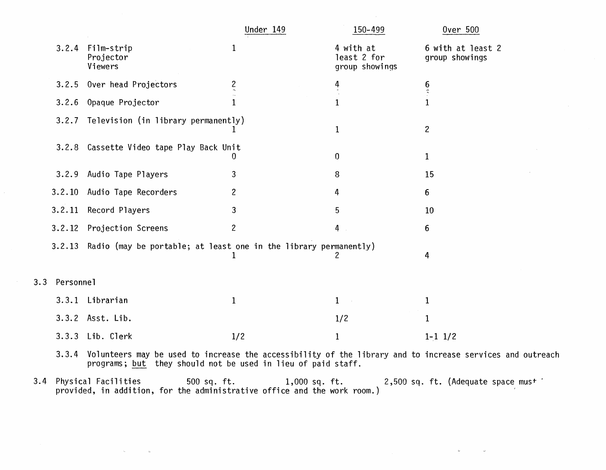|                                                                                                                                                                                    |                                                                  | Under 149      | 150-499                                    | <b>Over 500</b>                     |  |  |  |
|------------------------------------------------------------------------------------------------------------------------------------------------------------------------------------|------------------------------------------------------------------|----------------|--------------------------------------------|-------------------------------------|--|--|--|
|                                                                                                                                                                                    | 3.2.4 Film-strip<br>Projector<br>Viewers                         | $\mathbf{1}$   | 4 with at<br>least 2 for<br>group showings | 6 with at least 2<br>group showings |  |  |  |
| 3.2.5                                                                                                                                                                              | Over head Projectors                                             | $\frac{2}{2}$  | 4                                          | $\frac{6}{3}$                       |  |  |  |
| 3.2.6                                                                                                                                                                              | Opaque Projector                                                 | $\mathbf{1}$   | $\mathbf{1}$                               |                                     |  |  |  |
|                                                                                                                                                                                    | 3.2.7 Television (in library permanently)                        |                | $\mathbf 1$                                | $\overline{c}$                      |  |  |  |
| 3.2.8                                                                                                                                                                              | Cassette Video tape Play Back Unit                               | U              | $\boldsymbol{0}$                           | $\mathbf{1}$                        |  |  |  |
| 3.2.9                                                                                                                                                                              | Audio Tape Players                                               | 3              | 8                                          | 15                                  |  |  |  |
| 3.2.10                                                                                                                                                                             | Audio Tape Recorders                                             | $\overline{c}$ | 4                                          | 6                                   |  |  |  |
| 3.2.11                                                                                                                                                                             | Record Players                                                   | 3              | 5                                          | 10                                  |  |  |  |
| 3.2.12                                                                                                                                                                             | Projection Screens                                               | $\overline{c}$ | 4                                          | 6                                   |  |  |  |
| 3.2.13                                                                                                                                                                             | Radio (may be portable; at least one in the library permanently) | 1              | 2                                          | 4                                   |  |  |  |
| Personnel<br>3                                                                                                                                                                     |                                                                  |                |                                            |                                     |  |  |  |
|                                                                                                                                                                                    | 3.3.1 Librarian                                                  | $\mathbf{1}$   | $\mathbf{1}$                               | $\mathbf{1}$                        |  |  |  |
|                                                                                                                                                                                    | 3.3.2 Asst. Lib.                                                 |                | 1/2                                        | $\mathbf 1$                         |  |  |  |
|                                                                                                                                                                                    | 3.3.3 Lib. Clerk                                                 | 1/2            | $\mathbf{1}$                               | $1 - 1$ $1/2$                       |  |  |  |
| Volunteers may be used to increase the accessibility of the library and to increase services and outreach<br>3.3.4<br>programs; but they should not be used in lieu of paid staff. |                                                                  |                |                                            |                                     |  |  |  |

3.4 Physical Facilities 500 sq. ft. 1,000 sq. ft. 2,500 sq. ft. (Adequate space must '<br>provided, in addition, for the administrative office and the work room.)

 $3.$